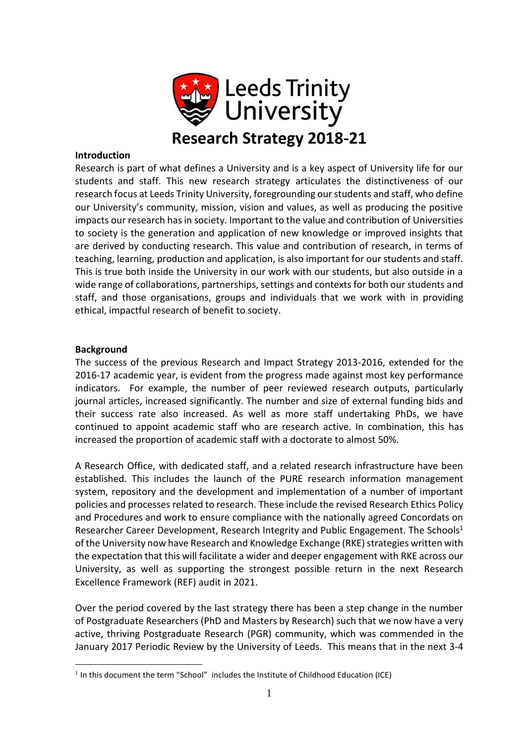

### **Introduction**

Research is part of what defines a University and is a key aspect of University life for our students and staff. This new research strategy articulates the distinctiveness of our research focus at Leeds Trinity University, foregrounding our students and staff, who define our University's community, mission, vision and values, as well as producing the positive impacts our research has in society. Important to the value and contribution of Universities to society is the generation and application of new knowledge or improved insights that are derived by conducting research. This value and contribution of research, in terms of teaching, learning, production and application, is also important for our students and staff. This is true both inside the University in our work with our students, but also outside in a wide range of collaborations, partnerships, settings and contexts for both our students and staff, and those organisations, groups and individuals that we work with in providing ethical, impactful research of benefit to society.

### **Background**

1

The success of the previous Research and Impact Strategy 2013-2016, extended for the 2016-17 academic year, is evident from the progress made against most key performance indicators. For example, the number of peer reviewed research outputs, particularly journal articles, increased significantly. The number and size of external funding bids and their success rate also increased. As well as more staff undertaking PhDs, we have continued to appoint academic staff who are research active. In combination, this has increased the proportion of academic staff with a doctorate to almost 50%.

A Research Office, with dedicated staff, and a related research infrastructure have been established. This includes the launch of the PURE research information management system, repository and the development and implementation of a number of important policies and processes related to research. These include the revised Research Ethics Policy and Procedures and work to ensure compliance with the nationally agreed Concordats on Researcher Career Development, Research Integrity and Public Engagement. The Schools $1$ of the University now have Research and Knowledge Exchange (RKE) strategies written with the expectation that this will facilitate a wider and deeper engagement with RKE across our University, as well as supporting the strongest possible return in the next Research Excellence Framework (REF) audit in 2021.

Over the period covered by the last strategy there has been a step change in the number of Postgraduate Researchers (PhD and Masters by Research) such that we now have a very active, thriving Postgraduate Research (PGR) community, which was commended in the January 2017 Periodic Review by the University of Leeds. This means that in the next 3-4

 $<sup>1</sup>$  In this document the term "School" includes the Institute of Childhood Education (ICE)</sup>